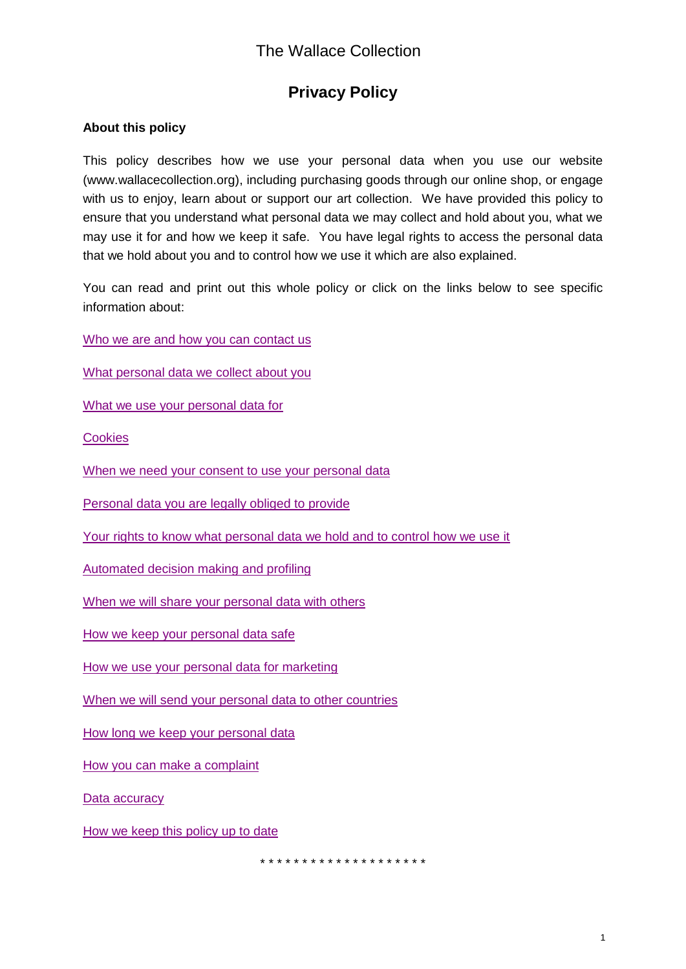# **Privacy Policy**

### **About this policy**

 This policy describes how we use your personal data when you use our website (<www.wallacecollection.org>), including purchasing goods through our online shop, or engage with us to enjoy, learn about or support our art collection. We have provided this policy to ensure that you understand what personal data we may collect and hold about you, what we may use it for and how we keep it safe. You have legal rights to access the personal data that we hold about you and to control how we use it which are also explained.

 You can read and print out this whole policy or click on the links below to see specific information about:

Who we are and how you can contact us

[What personal data we collect about you](#page-1-1) 

[What we use your personal data for](#page-1-2) 

**Cookies** 

When we need your consent to use your personal data

[Personal data you are legally obliged to provide](#page-3-1) 

Your rights to know what personal data we hold and to control how we use it

[Automated decision making and profiling](#page-4-0) 

When we will share your personal data with others

How we keep your personal data safe

How we use your personal data for marketing

When we will send your personal data to other countries

How long we keep your personal data

How you can make a complaint

Data accuracy

How we keep this policy up to date

\* \* \* \* \* \* \* \* \* \* \* \* \* \* \* \* \* \* \* \*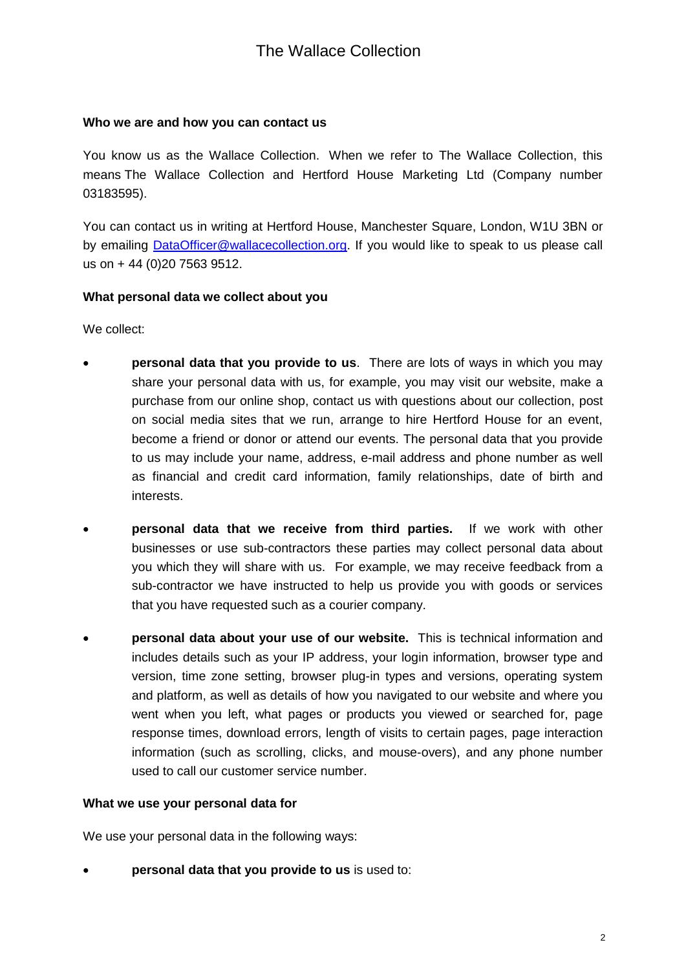### <span id="page-1-0"></span> **Who we are and how you can contact us**

 You know us as the Wallace Collection. When we refer to The Wallace Collection, this means The Wallace Collection and Hertford House Marketing Ltd (Company number 03183595).

03183595).<br>You can contact us in writing at Hertford House, Manchester Square, London, W1U 3BN or by emailing **DataOfficer@wallacecollection.org**. If you would like to speak to us please call us on + 44 (0)20 7563 9512.

#### <span id="page-1-1"></span> **What personal data we collect about you**

We collect:

- **personal data that you provide to us**. There are lots of ways in which you may share your personal data with us, for example, you may visit our website, make a purchase from our online shop, contact us with questions about our collection, post on social media sites that we run, arrange to hire Hertford House for an event, become a friend or donor or attend our events. The personal data that you provide to us may include your name, address, e-mail address and phone number as well as financial and credit card information, family relationships, date of birth and interests.
- **personal data that we receive from third parties.** If we work with other businesses or use sub-contractors these parties may collect personal data about you which they will share with us. For example, we may receive feedback from a sub-contractor we have instructed to help us provide you with goods or services that you have requested such as a courier company.
- **personal data about your use of our website.** This is technical information and includes details such as your IP address, your login information, browser type and version, time zone setting, browser plug-in types and versions, operating system and platform, as well as details of how you navigated to our website and where you went when you left, what pages or products you viewed or searched for, page response times, download errors, length of visits to certain pages, page interaction information (such as scrolling, clicks, and mouse-overs), and any phone number used to call our customer service number.

#### <span id="page-1-2"></span>**What we use your personal data for**

We use your personal data in the following ways:

 **personal data that you provide to us** is used to: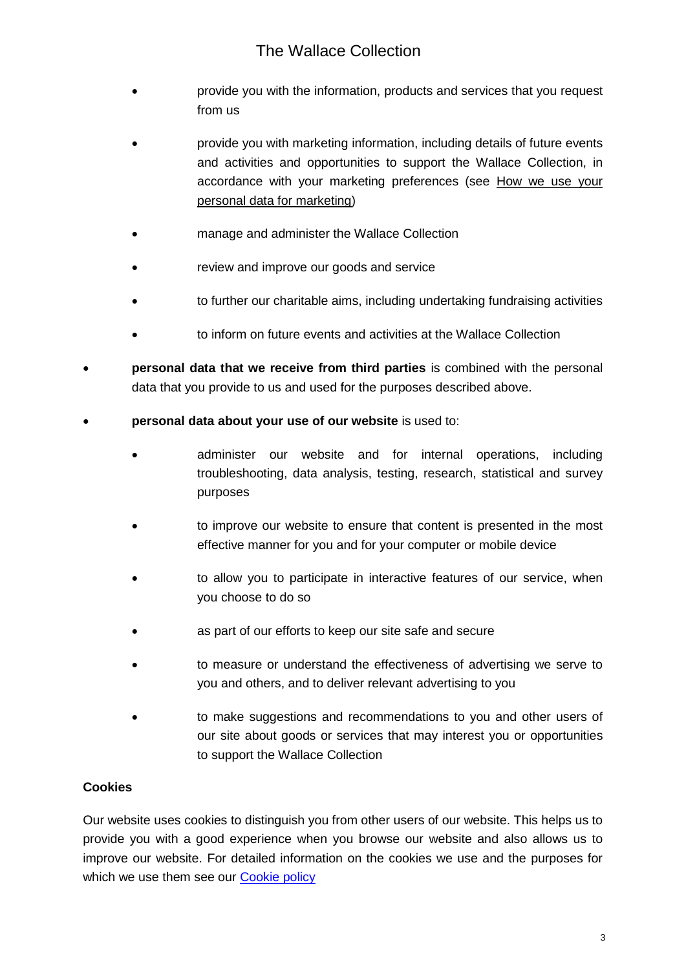- provide you with the information, products and services that you request from us
- provide you with marketing information, including details of future events and activities and opportunities to support the Wallace Collection, in accordance with your marketing preferences (see How we use your personal data for marketing)
- manage and administer the Wallace Collection
- review and improve our goods and service
- to further our charitable aims, including undertaking fundraising activities
- to inform on future events and activities at the Wallace Collection
- **personal data that we receive from third parties** is combined with the personal data that you provide to us and used for the purposes described above.
- **personal data about your use of our website** is used to:
	- administer our website and for internal operations, including troubleshooting, data analysis, testing, research, statistical and survey purposes
	- to improve our website to ensure that content is presented in the most effective manner for you and for your computer or mobile device
	- to allow you to participate in interactive features of our service, when you choose to do so
	- as part of our efforts to keep our site safe and secure
	- to measure or understand the effectiveness of advertising we serve to you and others, and to deliver relevant advertising to you
	- to make suggestions and recommendations to you and other users of our site about goods or services that may interest you or opportunities to support the Wallace Collection

#### <span id="page-2-0"></span>**Cookies**

 Our website uses cookies to distinguish you from other users of our website. This helps us to provide you with a good experience when you browse our website and also allows us to improve our website. For detailed information on the cookies we use and the purposes for which we use them see our **Cookie policy**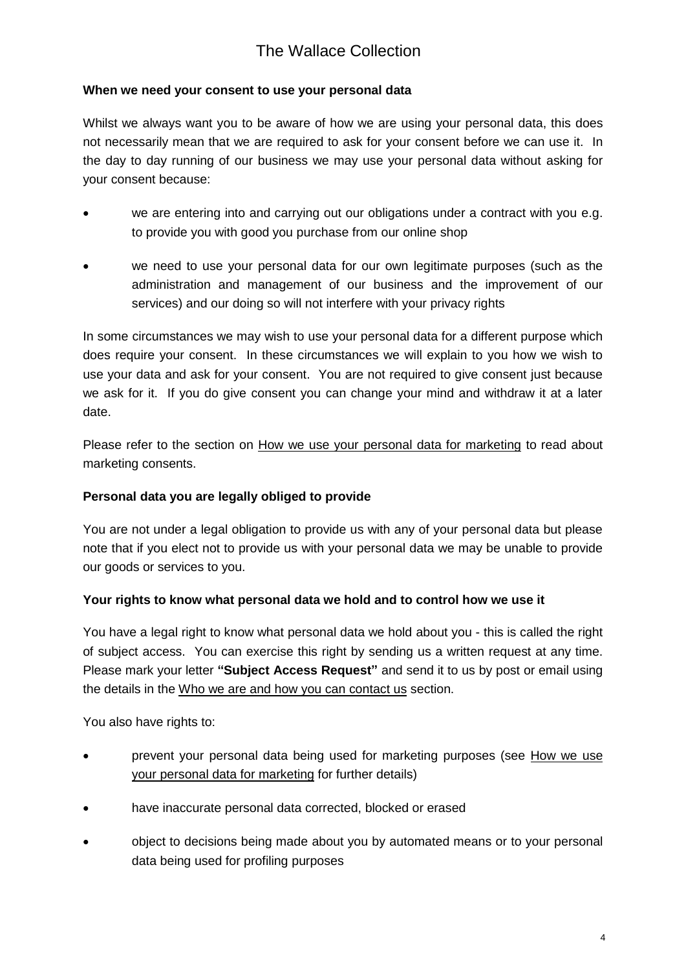#### <span id="page-3-0"></span> **When we need your consent to use your personal data**

 Whilst we always want you to be aware of how we are using your personal data, this does not necessarily mean that we are required to ask for your consent before we can use it. In the day to day running of our business we may use your personal data without asking for your consent because:

- to provide you with good you purchase from our online shop we are entering into and carrying out our obligations under a contract with you e.g.
- we need to use your personal data for our own legitimate purposes (such as the administration and management of our business and the improvement of our services) and our doing so will not interfere with your privacy rights

 In some circumstances we may wish to use your personal data for a different purpose which does require your consent. In these circumstances we will explain to you how we wish to use your data and ask for your consent. You are not required to give consent just because we ask for it. If you do give consent you can change your mind and withdraw it at a later date.

date.<br>Please refer to the section on <u>How we use your personal data for marketing</u> to read about marketing consents.

#### <span id="page-3-1"></span> **Personal data you are legally obliged to provide**

 You are not under a legal obligation to provide us with any of your personal data but please note that if you elect not to provide us with your personal data we may be unable to provide our goods or services to you.

#### <span id="page-3-2"></span> **Your rights to know what personal data we hold and to control how we use it**

 You have a legal right to know what personal data we hold about you - this is called the right of subject access. You can exercise this right by sending us a written request at any time. Please mark your letter **"Subject Access Request"** and send it to us by post or email using the details in the Who we are and how you can contact us section.

You also have rights to:

- Prevent your personal data being used for marketing purposes (see How we use your personal data for marketing for further details)
- have inaccurate personal data corrected, blocked or erased
- object to decisions being made about you by automated means or to your personal data being used for profiling purposes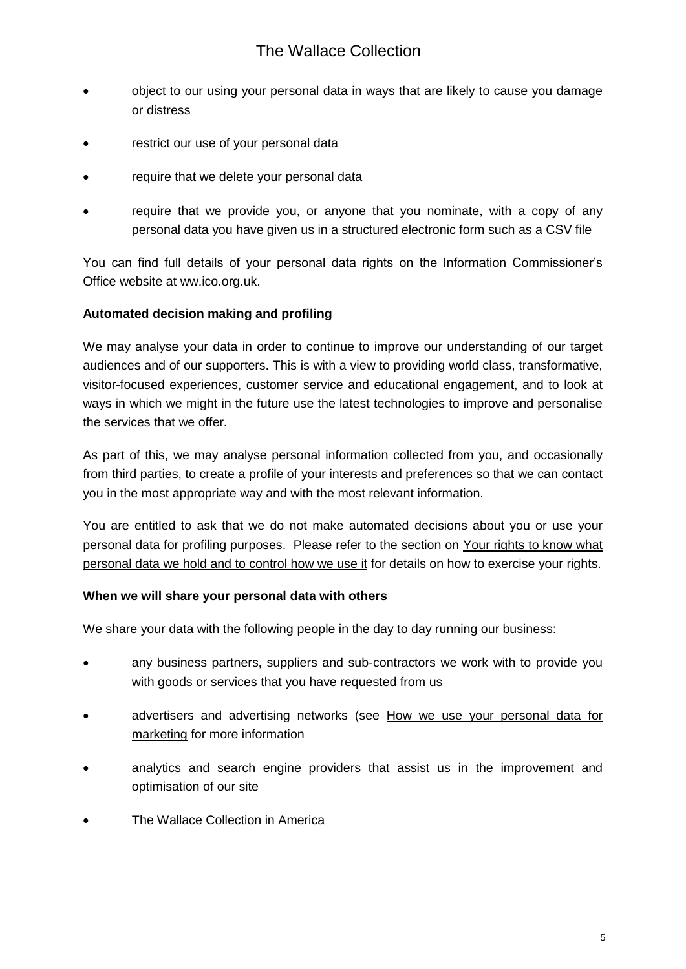- object to our using your personal data in ways that are likely to cause you damage or distress
- restrict our use of your personal data
- require that we delete your personal data
- require that we provide you, or anyone that you nominate, with a copy of any personal data you have given us in a structured electronic form such as a CSV file

 You can find full details of your personal data rights on the Information Commissioner's Office website at ww.ico.org.uk.

#### <span id="page-4-0"></span> **Automated decision making and profiling**

 We may analyse your data in order to continue to improve our understanding of our target audiences and of our supporters. This is with a view to providing world class, transformative, visitor-focused experiences, customer service and educational engagement, and to look at ways in which we might in the future use the latest technologies to improve and personalise the services that we offer.

 As part of this, we may analyse personal information collected from you, and occasionally from third parties, to create a profile of your interests and preferences so that we can contact you in the most appropriate way and with the most relevant information.

 You are entitled to ask that we do not make automated decisions about you or use your personal data for profiling purposes. Please refer to the section on Your rights to know what personal data we hold and to control how we use it for details on how to exercise your rights.

#### <span id="page-4-1"></span> **When we will share your personal data with others**

We share your data with the following people in the day to day running our business:

- with goods or services that you have requested from us any business partners, suppliers and sub-contractors we work with to provide you
- advertisers and advertising networks (see How we use your personal data for marketing for more information
- analytics and search engine providers that assist us in the improvement and optimisation of our site
- The Wallace Collection in America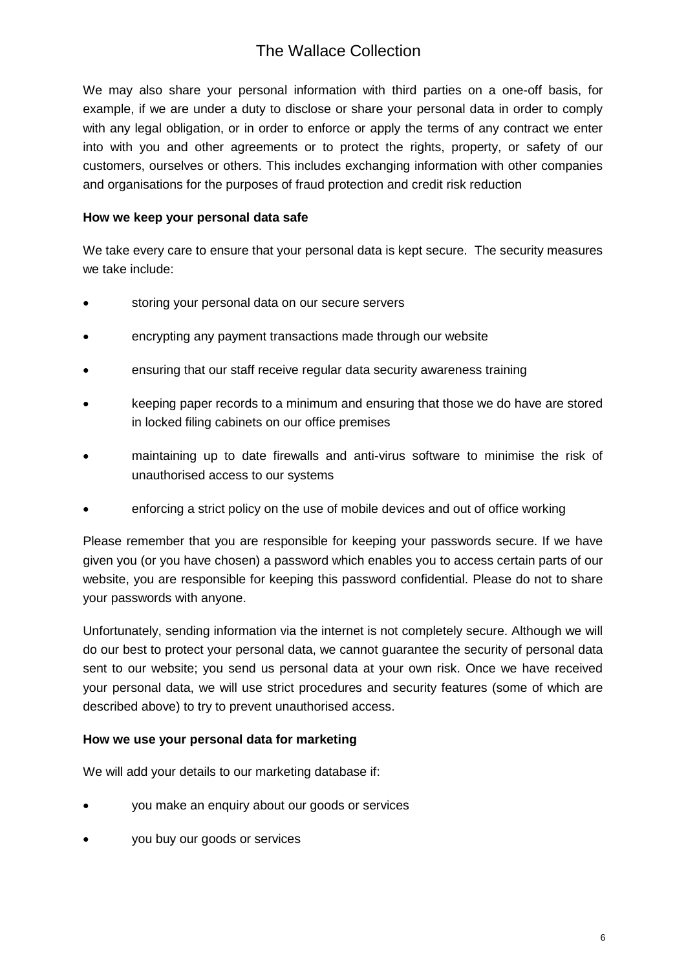We may also share your personal information with third parties on a one-off basis, for example, if we are under a duty to disclose or share your personal data in order to comply with any legal obligation, or in order to enforce or apply the terms of any contract we enter into with you and other agreements or to protect the rights, property, or safety of our customers, ourselves or others. This includes exchanging information with other companies and organisations for the purposes of fraud protection and credit risk reduction

#### <span id="page-5-0"></span> **How we keep your personal data safe**

 We take every care to ensure that your personal data is kept secure. The security measures we take include:

- storing your personal data on our secure servers
- encrypting any payment transactions made through our website
- ensuring that our staff receive regular data security awareness training
- keeping paper records to a minimum and ensuring that those we do have are stored in locked filing cabinets on our office premises
- maintaining up to date firewalls and anti-virus software to minimise the risk of unauthorised access to our systems
- enforcing a strict policy on the use of mobile devices and out of office working

 Please remember that you are responsible for keeping your passwords secure. If we have given you (or you have chosen) a password which enables you to access certain parts of our website, you are responsible for keeping this password confidential. Please do not to share your passwords with anyone.

 Unfortunately, sending information via the internet is not completely secure. Although we will do our best to protect your personal data, we cannot guarantee the security of personal data sent to our website; you send us personal data at your own risk. Once we have received your personal data, we will use strict procedures and security features (some of which are described above) to try to prevent unauthorised access.

#### <span id="page-5-1"></span> **How we use your personal data for marketing**

We will add your details to our marketing database if:

- you make an enquiry about our goods or services
- you buy our goods or services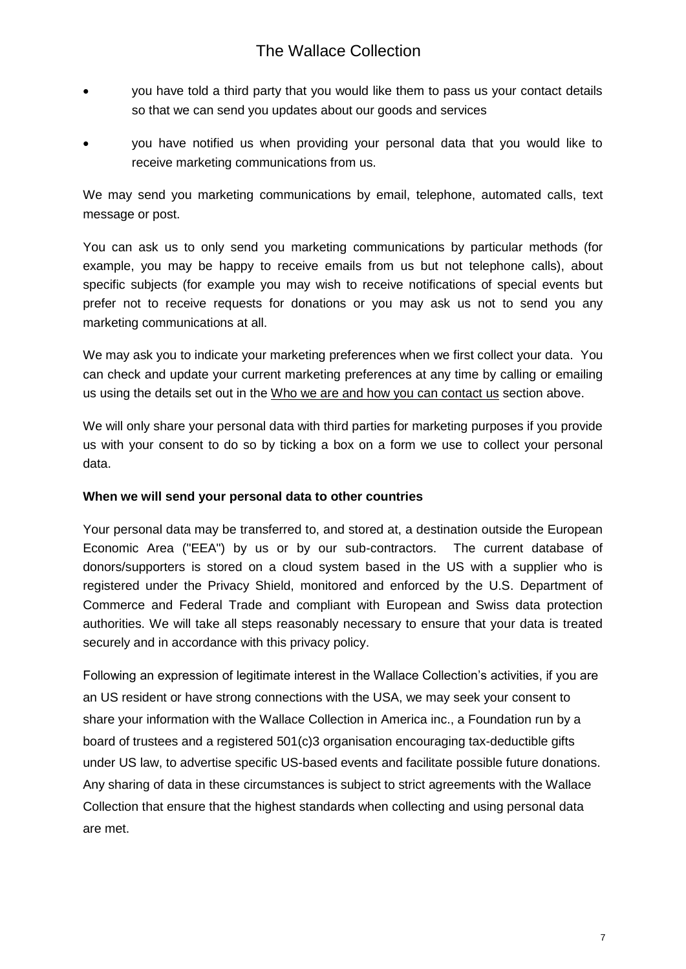- so that we can send you updates about our goods and services you have told a third party that you would like them to pass us your contact details
- receive marketing communications from us. you have notified us when providing your personal data that you would like to

 We may send you marketing communications by email, telephone, automated calls, text message or post.

 You can ask us to only send you marketing communications by particular methods (for example, you may be happy to receive emails from us but not telephone calls), about specific subjects (for example you may wish to receive notifications of special events but prefer not to receive requests for donations or you may ask us not to send you any marketing communications at all.

 We may ask you to indicate your marketing preferences when we first collect your data. You can check and update your current marketing preferences at any time by calling or emailing us using the details set out in the Who we are and how you can contact us section above.

 We will only share your personal data with third parties for marketing purposes if you provide us with your consent to do so by ticking a box on a form we use to collect your personal data.

#### <span id="page-6-0"></span> **When we will send your personal data to other countries**

 Your personal data may be transferred to, and stored at, a destination outside the European Economic Area ("EEA") by us or by our sub-contractors. The current database of donors/supporters is stored on a cloud system based in the US with a supplier who is registered under the Privacy Shield, monitored and enforced by the U.S. Department of authorities. We will take all steps reasonably necessary to ensure that your data is treated securely and in accordance with this privacy policy. Commerce and Federal Trade and compliant with European and Swiss data protection

 Following an expression of legitimate interest in the Wallace Collection's activities, if you are an US resident or have strong connections with the USA, we may seek your consent to share your information with the Wallace Collection in America inc., a Foundation run by a board of trustees and a registered 501(c)3 organisation encouraging tax-deductible gifts under US law, to advertise specific US-based events and facilitate possible future donations. Any sharing of data in these circumstances is subject to strict agreements with the Wallace Collection that ensure that the highest standards when collecting and using personal data are met. are met.<br>7<br>7<br>7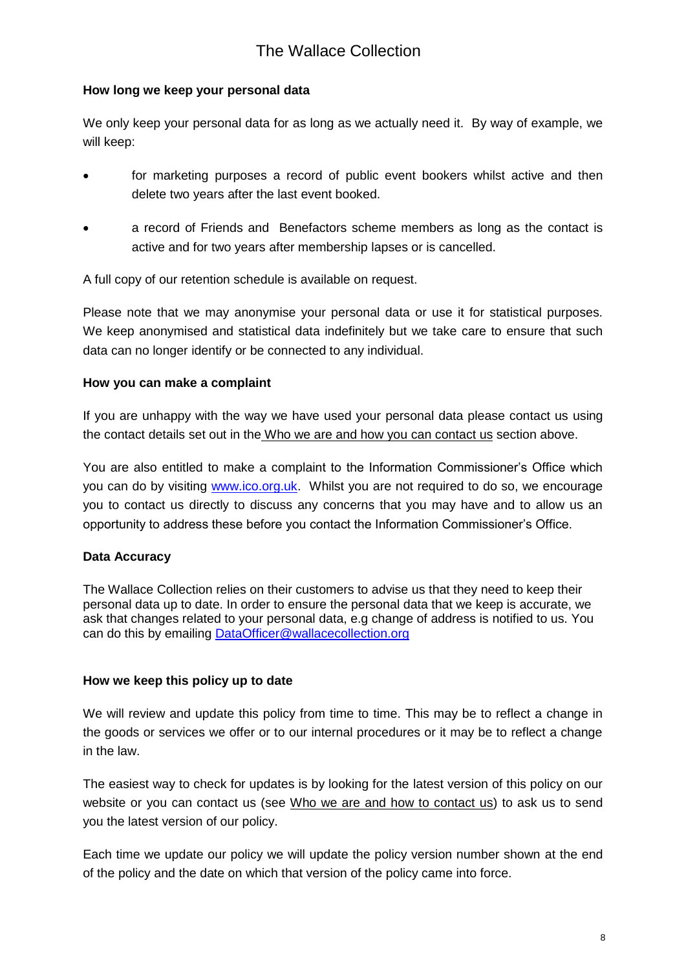#### <span id="page-7-0"></span> **How long we keep your personal data**

 We only keep your personal data for as long as we actually need it. By way of example, we will keep:

- for marketing purposes a record of public event bookers whilst active and then delete two years after the last event booked.
- a record of Friends and Benefactors scheme members as long as the contact is active and for two years after membership lapses or is cancelled.

A full copy of our retention schedule is available on request.

 Please note that we may anonymise your personal data or use it for statistical purposes. We keep anonymised and statistical data indefinitely but we take care to ensure that such data can no longer identify or be connected to any individual.

### <span id="page-7-1"></span> **How you can make a complaint**

 If you are unhappy with the way we have used your personal data please contact us using the contact details set out in the Who we are and how you can contact us section above.

you can do by visiting [www.ico.org.uk.](http://www.ico.org.uk/) Whilst you are not required to do so, we encourage you to contact us directly to discuss any concerns that you may have and to allow us an opportunity to address these before you contact the Information Commissioner's Office. You are also entitled to make a complaint to the Information Commissioner's Office which

### <span id="page-7-2"></span>**Data Accuracy**

 The Wallace Collection relies on their customers to advise us that they need to keep their personal data up to date. In order to ensure the personal data that we keep is accurate, we ask that changes related to your personal data, e.g change of address is notified to us. You can do this by emailing **DataOfficer@wallacecollection.org** 

#### <span id="page-7-3"></span> **How we keep this policy up to date**

 We will review and update this policy from time to time. This may be to reflect a change in the goods or services we offer or to our internal procedures or it may be to reflect a change in the law.

 The easiest way to check for updates is by looking for the latest version of this policy on our website or you can contact us (see Who we are and how to contact us) to ask us to send you the latest version of our policy.

 Each time we update our policy we will update the policy version number shown at the end of the policy and the date on which that version of the policy came into force.